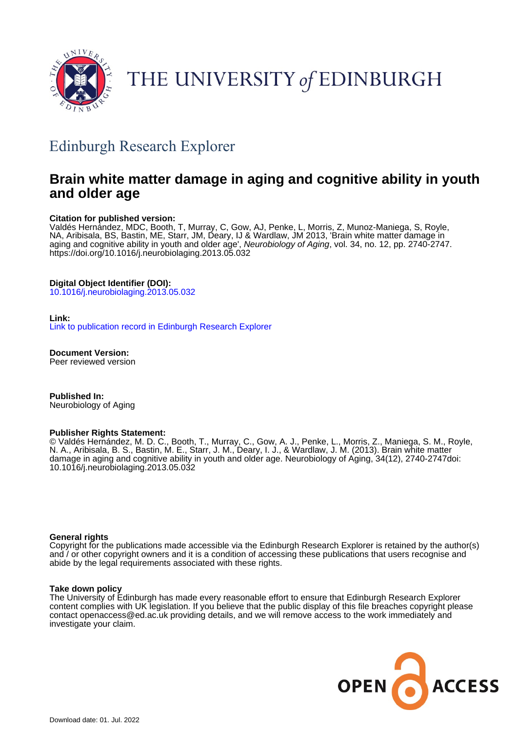

# THE UNIVERSITY of EDINBURGH

# Edinburgh Research Explorer

# **Brain white matter damage in aging and cognitive ability in youth and older age**

### **Citation for published version:**

Valdés Hernández, MDC, Booth, T, Murray, C, Gow, AJ, Penke, L, Morris, Z, Munoz-Maniega, S, Royle, NA, Aribisala, BS, Bastin, ME, Starr, JM, Deary, IJ & Wardlaw, JM 2013, 'Brain white matter damage in aging and cognitive ability in youth and older age', Neurobiology of Aging, vol. 34, no. 12, pp. 2740-2747. <https://doi.org/10.1016/j.neurobiolaging.2013.05.032>

## **Digital Object Identifier (DOI):**

[10.1016/j.neurobiolaging.2013.05.032](https://doi.org/10.1016/j.neurobiolaging.2013.05.032)

### **Link:**

[Link to publication record in Edinburgh Research Explorer](https://www.research.ed.ac.uk/en/publications/95a79468-00b8-485d-b391-ac9496d96a01)

**Document Version:** Peer reviewed version

**Published In:** Neurobiology of Aging

### **Publisher Rights Statement:**

© Valdés Hernández, M. D. C., Booth, T., Murray, C., Gow, A. J., Penke, L., Morris, Z., Maniega, S. M., Royle, N. A., Aribisala, B. S., Bastin, M. E., Starr, J. M., Deary, I. J., & Wardlaw, J. M. (2013). Brain white matter damage in aging and cognitive ability in youth and older age. Neurobiology of Aging, 34(12), 2740-2747doi: 10.1016/j.neurobiolaging.2013.05.032

### **General rights**

Copyright for the publications made accessible via the Edinburgh Research Explorer is retained by the author(s) and / or other copyright owners and it is a condition of accessing these publications that users recognise and abide by the legal requirements associated with these rights.

### **Take down policy**

The University of Edinburgh has made every reasonable effort to ensure that Edinburgh Research Explorer content complies with UK legislation. If you believe that the public display of this file breaches copyright please contact openaccess@ed.ac.uk providing details, and we will remove access to the work immediately and investigate your claim.

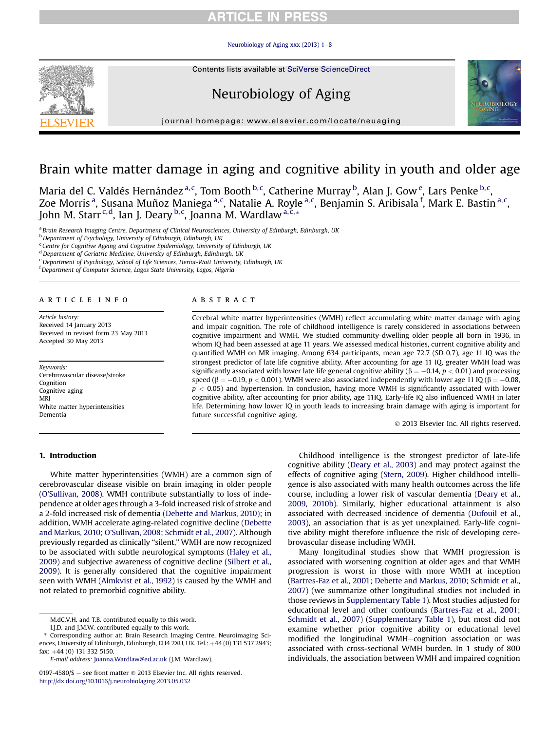[Neurobiology of Aging xxx \(2013\) 1](http://dx.doi.org/10.1016/j.neurobiolaging.2013.05.032)-[8](http://dx.doi.org/10.1016/j.neurobiolaging.2013.05.032)

Contents lists available at SciVerse ScienceDirect

# Neurobiology of Aging



journal homepage: [www.elsevier.com/locate/neuaging](http://www.elsevier.com/locate/neuaging)

# Brain white matter damage in aging and cognitive ability in youth and older age

Maria del C. Valdés Hernández <sup>a, c</sup>, Tom Booth <sup>b, c</sup>, Catherine Murray <sup>b</sup>, Alan J. Gow <sup>e</sup>, Lars Penke <sup>b, c</sup>, Zoe Morris <sup>a</sup>, Susana Muñoz Maniega <sup>a, c</sup>, Natalie A. Royle <sup>a, c</sup>, Benjamin S. Aribisala <sup>f</sup>, Mark E. Bastin <sup>a, c</sup>, John M. Starr<sup>.c,d</sup>, Ian J. Deary <sup>b,c</sup>, Joanna M. Wardlaw <sup>a,c,</sup>\*

a Brain Research Imaging Centre, Department of Clinical Neurosciences, University of Edinburgh, Edinburgh, UK

**b** Department of Psychology, University of Edinburgh, Edinburgh, UK

<sup>c</sup> Centre for Cognitive Ageing and Cognitive Epidemiology, University of Edinburgh, UK

<sup>d</sup> Department of Geriatric Medicine, University of Edinburgh, Edinburgh, UK

<sup>e</sup> Department of Psychology, School of Life Sciences, Heriot-Watt University, Edinburgh, UK

<sup>f</sup> Department of Computer Science, Lagos State University, Lagos, Nigeria

#### article info

Article history: Received 14 January 2013 Received in revised form 23 May 2013 Accepted 30 May 2013

Keywords: Cerebrovascular disease/stroke Cognition Cognitive aging MRI White matter hyperintensities Dementia

### A B S T R A C T

Cerebral white matter hyperintensities (WMH) reflect accumulating white matter damage with aging and impair cognition. The role of childhood intelligence is rarely considered in associations between cognitive impairment and WMH. We studied community-dwelling older people all born in 1936, in whom IQ had been assessed at age 11 years. We assessed medical histories, current cognitive ability and quantified WMH on MR imaging. Among 634 participants, mean age 72.7 (SD 0.7), age 11 IQ was the strongest predictor of late life cognitive ability. After accounting for age 11 IQ, greater WMH load was significantly associated with lower late life general cognitive ability ( $\beta = -0.14$ ,  $p < 0.01$ ) and processing speed ( $\beta = -0.19$ ,  $p < 0.001$  ). WMH were also associated independently with lower age 11 IQ ( $\beta = -0.08$ ,  $p < 0.05$ ) and hypertension. In conclusion, having more WMH is significantly associated with lower cognitive ability, after accounting for prior ability, age 11IQ. Early-life IQ also influenced WMH in later life. Determining how lower IQ in youth leads to increasing brain damage with aging is important for future successful cognitive aging.

2013 Elsevier Inc. All rights reserved.

### 1. Introduction

White matter hyperintensities (WMH) are a common sign of cerebrovascular disease visible on brain imaging in older people (O'[Sullivan, 2008\)](#page-8-0). WMH contribute substantially to loss of independence at older ages through a 3-fold increased risk of stroke and a 2-fold increased risk of dementia ([Debette and Markus, 2010\)](#page-8-0); in addition, WMH accelerate aging-related cognitive decline ([Debette](#page-8-0) and Markus, 2010; O'[Sullivan, 2008; Schmidt et al., 2007\)](#page-8-0). Although previously regarded as clinically "silent," WMH are now recognized to be associated with subtle neurological symptoms ([Haley et al.,](#page-8-0) [2009\)](#page-8-0) and subjective awareness of cognitive decline ([Silbert et al.,](#page-8-0) [2009\)](#page-8-0). It is generally considered that the cognitive impairment seen with WMH ([Almkvist et al., 1992](#page-7-0)) is caused by the WMH and not related to premorbid cognitive ability.

Childhood intelligence is the strongest predictor of late-life cognitive ability ([Deary et al., 2003](#page-7-0)) and may protect against the effects of cognitive aging ([Stern, 2009](#page-8-0)). Higher childhood intelligence is also associated with many health outcomes across the life course, including a lower risk of vascular dementia [\(Deary et al.,](#page-7-0) [2009, 2010b](#page-7-0)). Similarly, higher educational attainment is also associated with decreased incidence of dementia ([Dufouil et al.,](#page-8-0) [2003](#page-8-0)), an association that is as yet unexplained. Early-life cognitive ability might therefore influence the risk of developing cerebrovascular disease including WMH.

Many longitudinal studies show that WMH progression is associated with worsening cognition at older ages and that WMH progression is worst in those with more WMH at inception [\(Bartres-Faz et al., 2001; Debette and Markus, 2010; Schmidt et al.,](#page-7-0) [2007](#page-7-0)) (we summarize other longitudinal studies not included in those reviews in Supplementary Table 1). Most studies adjusted for educational level and other confounds [\(Bartres-Faz et al., 2001;](#page-7-0) [Schmidt et al., 2007](#page-7-0)) (Supplementary Table 1), but most did not examine whether prior cognitive ability or educational level modified the longitudinal WMH-cognition association or was associated with cross-sectional WMH burden. In 1 study of 800 individuals, the association between WMH and impaired cognition



M.dC.V.H. and T.B. contributed equally to this work.

I.J.D. and J.M.W. contributed equally to this work.

Corresponding author at: Brain Research Imaging Centre, Neuroimaging Sciences, University of Edinburgh, Edinburgh, EH4 2XU, UK. Tel.: +44 (0) 131 537 2943; fax:  $+44$  (0) 131 332 5150.

E-mail address: [Joanna.Wardlaw@ed.ac.uk](mailto:Joanna.Wardlaw@ed.ac.uk) (J.M. Wardlaw).

 $0197-4580/\$$  – see front matter  $\odot$  2013 Elsevier Inc. All rights reserved. <http://dx.doi.org/10.1016/j.neurobiolaging.2013.05.032>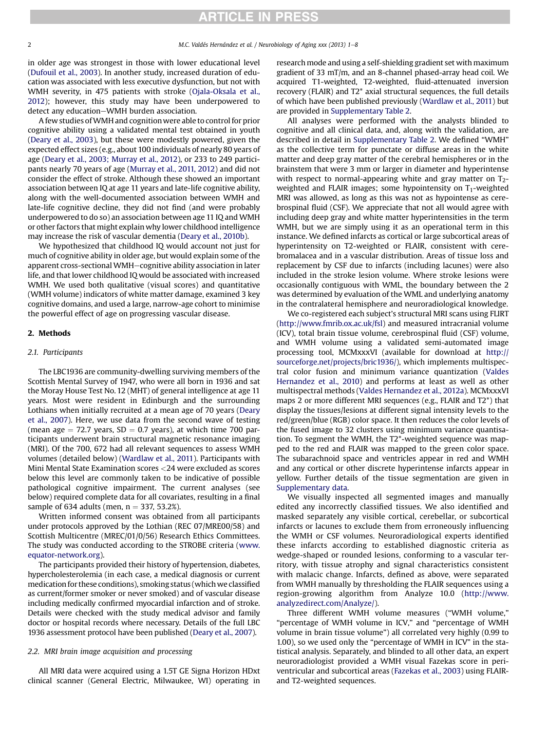in older age was strongest in those with lower educational level [\(Dufouil et al., 2003\)](#page-8-0). In another study, increased duration of education was associated with less executive dysfunction, but not with WMH severity, in 475 patients with stroke [\(Ojala-Oksala et al.,](#page-8-0) [2012\)](#page-8-0); however, this study may have been underpowered to detect any education-WMH burden association.

A few studies ofWMH and cognitionwere able to control for prior cognitive ability using a validated mental test obtained in youth [\(Deary et al., 2003](#page-7-0)), but these were modestly powered, given the expected effect sizes (e.g., about 100 individuals of nearly 80 years of age ([Deary et al., 2003; Murray et al., 2012](#page-7-0)), or 233 to 249 participants nearly 70 years of age ([Murray et al., 2011, 2012\)](#page-8-0) and did not consider the effect of stroke. Although these showed an important association between IQ at age 11 years and late-life cognitive ability, along with the well-documented association between WMH and late-life cognitive decline, they did not find (and were probably underpowered to do so) an association between age 11 IQ and WMH or other factors that might explain why lower childhood intelligence may increase the risk of vascular dementia ([Deary et al., 2010b\)](#page-7-0).

We hypothesized that childhood IQ would account not just for much of cognitive ability in older age, but would explain some of the apparent cross-sectional WMH-cognitive ability association in later life, and that lower childhood IQ would be associated with increased WMH. We used both qualitative (visual scores) and quantitative (WMH volume) indicators of white matter damage, examined 3 key cognitive domains, and used a large, narrow-age cohort to minimise the powerful effect of age on progressing vascular disease.

#### 2. Methods

#### 2.1. Participants

The LBC1936 are community-dwelling surviving members of the Scottish Mental Survey of 1947, who were all born in 1936 and sat the Moray House Test No. 12 (MHT) of general intelligence at age 11 years. Most were resident in Edinburgh and the surrounding Lothians when initially recruited at a mean age of 70 years ([Deary](#page-7-0) [et al., 2007\)](#page-7-0). Here, we use data from the second wave of testing (mean age  $= 72.7$  years, SD  $= 0.7$  years), at which time 700 participants underwent brain structural magnetic resonance imaging (MRI). Of the 700, 672 had all relevant sequences to assess WMH volumes (detailed below) [\(Wardlaw et al., 2011\)](#page-8-0). Participants with Mini Mental State Examination scores <24 were excluded as scores below this level are commonly taken to be indicative of possible pathological cognitive impairment. The current analyses (see below) required complete data for all covariates, resulting in a final sample of 634 adults (men,  $n = 337, 53.2\%$ ).

Written informed consent was obtained from all participants under protocols approved by the Lothian (REC 07/MRE00/58) and Scottish Multicentre (MREC/01/0/56) Research Ethics Committees. The study was conducted according to the STROBE criteria [\(www.](http://www.equator-network.org) [equator-network.org](http://www.equator-network.org)).

The participants provided their history of hypertension, diabetes, hypercholesterolemia (in each case, a medical diagnosis or current medication for these conditions), smoking status (which we classified as current/former smoker or never smoked) and of vascular disease including medically confirmed myocardial infarction and of stroke. Details were checked with the study medical advisor and family doctor or hospital records where necessary. Details of the full LBC 1936 assessment protocol have been published [\(Deary et al., 2007](#page-7-0)).

#### 2.2. MRI brain image acquisition and processing

All MRI data were acquired using a 1.5T GE Signa Horizon HDxt clinical scanner (General Electric, Milwaukee, WI) operating in

research mode and using a self-shielding gradient set with maximum gradient of 33 mT/m, and an 8-channel phased-array head coil. We acquired T1-weighted, T2-weighted, fluid-attenuated inversion recovery (FLAIR) and T2\* axial structural sequences, the full details of which have been published previously ([Wardlaw et al., 2011\)](#page-8-0) but are provided in Supplementary Table 2.

All analyses were performed with the analysts blinded to cognitive and all clinical data, and, along with the validation, are described in detail in Supplementary Table 2. We defined "WMH" as the collective term for punctate or diffuse areas in the white matter and deep gray matter of the cerebral hemispheres or in the brainstem that were 3 mm or larger in diameter and hyperintense with respect to normal-appearing white and gray matter on T<sub>2</sub>weighted and FLAIR images; some hypointensity on  $T_1$ -weighted MRI was allowed, as long as this was not as hypointense as cerebrospinal fluid (CSF). We appreciate that not all would agree with including deep gray and white matter hyperintensities in the term WMH, but we are simply using it as an operational term in this instance. We defined infarcts as cortical or large subcortical areas of hyperintensity on T2-weighted or FLAIR, consistent with cerebromalacea and in a vascular distribution. Areas of tissue loss and replacement by CSF due to infarcts (including lacunes) were also included in the stroke lesion volume. Where stroke lesions were occasionally contiguous with WML, the boundary between the 2 was determined by evaluation of the WML and underlying anatomy in the contralateral hemisphere and neuroradiological knowledge.

We co-registered each subject's structural MRI scans using FLIRT ([http://www.fmrib.ox.ac.uk/fsl\)](http://www.fmrib.ox.ac.uk/fsl) and measured intracranial volume (ICV), total brain tissue volume, cerebrospinal fluid (CSF) volume, and WMH volume using a validated semi-automated image processing tool, MCMxxxVI (available for download at [http://](http://sourceforge.net/projects/bric1936/) [sourceforge.net/projects/bric1936/\)](http://sourceforge.net/projects/bric1936/), which implements multispectral color fusion and minimum variance quantization ([Valdes](#page-8-0) [Hernandez et al., 2010\)](#page-8-0) and performs at least as well as other multispectral methods [\(Valdes Hernandez et al., 2012a\)](#page-8-0). MCMxxxVI maps 2 or more different MRI sequences (e.g., FLAIR and T2\*) that display the tissues/lesions at different signal intensity levels to the red/green/blue (RGB) color space. It then reduces the color levels of the fused image to 32 clusters using minimum variance quantisation. To segment the WMH, the T2\*-weighted sequence was mapped to the red and FLAIR was mapped to the green color space. The subarachnoid space and ventricles appear in red and WMH and any cortical or other discrete hyperintense infarcts appear in yellow. Further details of the tissue segmentation are given in Supplementary data.

We visually inspected all segmented images and manually edited any incorrectly classified tissues. We also identified and masked separately any visible cortical, cerebellar, or subcortical infarcts or lacunes to exclude them from erroneously influencing the WMH or CSF volumes. Neuroradiological experts identified these infarcts according to established diagnostic criteria as wedge-shaped or rounded lesions, conforming to a vascular territory, with tissue atrophy and signal characteristics consistent with malacic change. Infarcts, defined as above, were separated from WMH manually by thresholding the FLAIR sequences using a region-growing algorithm from Analyze 10.0 [\(http://www.](http://www.analyzedirect.com/Analyze/) [analyzedirect.com/Analyze/\)](http://www.analyzedirect.com/Analyze/).

Three different WMH volume measures ("WMH volume," "percentage of WMH volume in ICV," and "percentage of WMH volume in brain tissue volume") all correlated very highly (0.99 to 1.00), so we used only the "percentage of WMH in ICV" in the statistical analysis. Separately, and blinded to all other data, an expert neuroradiologist provided a WMH visual Fazekas score in periventricular and subcortical areas [\(Fazekas et al., 2003\)](#page-8-0) using FLAIRand T2-weighted sequences.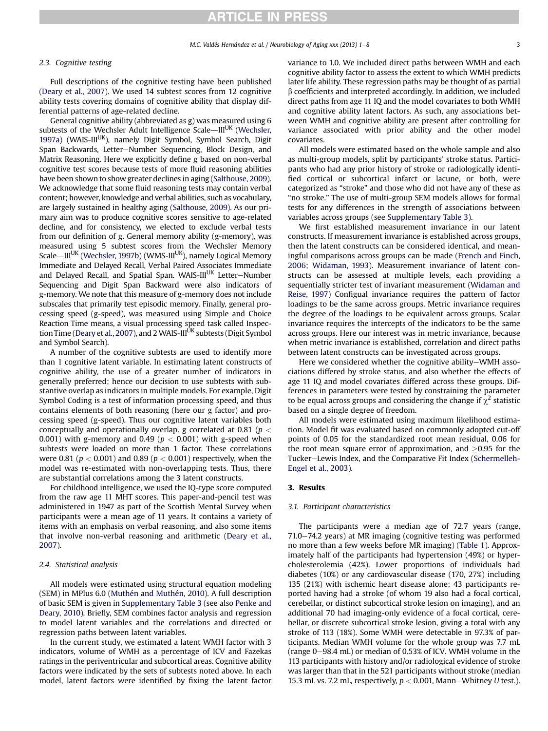#### 2.3. Cognitive testing

Full descriptions of the cognitive testing have been published ([Deary et al., 2007\)](#page-7-0). We used 14 subtest scores from 12 cognitive ability tests covering domains of cognitive ability that display differential patterns of age-related decline.

General cognitive ability (abbreviated as g) was measured using 6 subtests of the Wechsler Adult Intelligence Scale-III<sup>UK</sup> [\(Wechsler,](#page-8-0) [1997a\)](#page-8-0) (WAIS-III<sup>UK</sup>), namely Digit Symbol, Symbol Search, Digit Span Backwards, Letter-Number Sequencing, Block Design, and Matrix Reasoning. Here we explicitly define g based on non-verbal cognitive test scores because tests of more fluid reasoning abilities have been shown to show greater declines in aging [\(Salthouse, 2009](#page-8-0)). We acknowledge that some fluid reasoning tests may contain verbal content; however, knowledge and verbal abilities, such as vocabulary, are largely sustained in healthy aging [\(Salthouse, 2009](#page-8-0)). As our primary aim was to produce cognitive scores sensitive to age-related decline, and for consistency, we elected to exclude verbal tests from our definition of g. General memory ability (g-memory), was measured using 5 subtest scores from the Wechsler Memory Scale—III<sup>UK</sup> [\(Wechsler, 1997b\)](#page-8-0) (WMS-III<sup>UK</sup>), namely Logical Memory Immediate and Delayed Recall, Verbal Paired Associates Immediate and Delayed Recall, and Spatial Span. WAIS-III<sup>UK</sup> Letter-Number Sequencing and Digit Span Backward were also indicators of g-memory. We note that this measure of g-memory does not include subscales that primarily test episodic memory. Finally, general processing speed (g-speed), was measured using Simple and Choice Reaction Time means, a visual processing speed task called Inspec-tion Time ([Deary et al., 2007](#page-7-0)), and 2 WAIS-III<sup>UK</sup> subtests (Digit Symbol and Symbol Search).

A number of the cognitive subtests are used to identify more than 1 cognitive latent variable. In estimating latent constructs of cognitive ability, the use of a greater number of indicators in generally preferred; hence our decision to use subtests with substantive overlap as indicators in multiple models. For example, Digit Symbol Coding is a test of information processing speed, and thus contains elements of both reasoning (here our g factor) and processing speed (g-speed). Thus our cognitive latent variables both conceptually and operationally overlap. g correlated at 0.81 ( $p <$ 0.001) with g-memory and 0.49 ( $p < 0.001$ ) with g-speed when subtests were loaded on more than 1 factor. These correlations were 0.81 ( $p < 0.001$ ) and 0.89 ( $p < 0.001$ ) respectively, when the model was re-estimated with non-overlapping tests. Thus, there are substantial correlations among the 3 latent constructs.

For childhood intelligence, we used the IQ-type score computed from the raw age 11 MHT scores. This paper-and-pencil test was administered in 1947 as part of the Scottish Mental Survey when participants were a mean age of 11 years. It contains a variety of items with an emphasis on verbal reasoning, and also some items that involve non-verbal reasoning and arithmetic ([Deary et al.,](#page-7-0) [2007\)](#page-7-0).

#### 2.4. Statistical analysis

All models were estimated using structural equation modeling (SEM) in MPlus 6.0 [\(Muthén and Muthén, 2010\)](#page-8-0). A full description of basic SEM is given in Supplementary Table 3 (see also [Penke and](#page-8-0) [Deary, 2010](#page-8-0)). Briefly, SEM combines factor analysis and regression to model latent variables and the correlations and directed or regression paths between latent variables.

In the current study, we estimated a latent WMH factor with 3 indicators, volume of WMH as a percentage of ICV and Fazekas ratings in the periventricular and subcortical areas. Cognitive ability factors were indicated by the sets of subtests noted above. In each model, latent factors were identified by fixing the latent factor

variance to 1.0. We included direct paths between WMH and each cognitive ability factor to assess the extent to which WMH predicts later life ability. These regression paths may be thought of as partial  $\beta$  coefficients and interpreted accordingly. In addition, we included direct paths from age 11 IQ and the model covariates to both WMH and cognitive ability latent factors. As such, any associations between WMH and cognitive ability are present after controlling for variance associated with prior ability and the other model covariates.

All models were estimated based on the whole sample and also as multi-group models, split by participants' stroke status. Participants who had any prior history of stroke or radiologically identified cortical or subcortical infarct or lacune, or both, were categorized as "stroke" and those who did not have any of these as "no stroke." The use of multi-group SEM models allows for formal tests for any differences in the strength of associations between variables across groups (see Supplementary Table 3).

We first established measurement invariance in our latent constructs. If measurement invariance is established across groups, then the latent constructs can be considered identical, and meaningful comparisons across groups can be made [\(French and Finch,](#page-8-0) [2006; Widaman, 1993\)](#page-8-0). Measurement invariance of latent constructs can be assessed at multiple levels, each providing a sequentially stricter test of invariant measurement [\(Widaman and](#page-8-0) [Reise, 1997\)](#page-8-0) Configual invariance requires the pattern of factor loadings to be the same across groups. Metric invariance requires the degree of the loadings to be equivalent across groups. Scalar invariance requires the intercepts of the indicators to be the same across groups. Here our interest was in metric invariance, because when metric invariance is established, correlation and direct paths between latent constructs can be investigated across groups.

Here we considered whether the cognitive ability–WMH associations differed by stroke status, and also whether the effects of age 11 IQ and model covariates differed across these groups. Differences in parameters were tested by constraining the parameter to be equal across groups and considering the change if  $\chi^2$  statistic based on a single degree of freedom.

All models were estimated using maximum likelihood estimation. Model fit was evaluated based on commonly adopted cut-off points of 0.05 for the standardized root mean residual, 0.06 for the root mean square error of approximation, and  $\geq$ 0.95 for the Tucker-Lewis Index, and the Comparative Fit Index ([Schermelleh-](#page-8-0)[Engel et al., 2003](#page-8-0)).

#### 3. Results

#### 3.1. Participant characteristics

The participants were a median age of 72.7 years (range,  $71.0 - 74.2$  years) at MR imaging (cognitive testing was performed no more than a few weeks before MR imaging) [\(Table 1](#page-4-0)). Approximately half of the participants had hypertension (49%) or hypercholesterolemia (42%). Lower proportions of individuals had diabetes (10%) or any cardiovascular disease (170, 27%) including 135 (21%) with ischemic heart disease alone; 43 participants reported having had a stroke (of whom 19 also had a focal cortical, cerebellar, or distinct subcortical stroke lesion on imaging), and an additional 70 had imaging-only evidence of a focal cortical, cerebellar, or discrete subcortical stroke lesion, giving a total with any stroke of 113 (18%). Some WMH were detectable in 97.3% of participants. Median WMH volume for the whole group was 7.7 mL (range  $0-98.4$  mL) or median of 0.53% of ICV. WMH volume in the 113 participants with history and/or radiological evidence of stroke was larger than that in the 521 participants without stroke (median 15.3 mL vs. 7.2 mL, respectively,  $p < 0.001$ , Mann-Whitney U test.).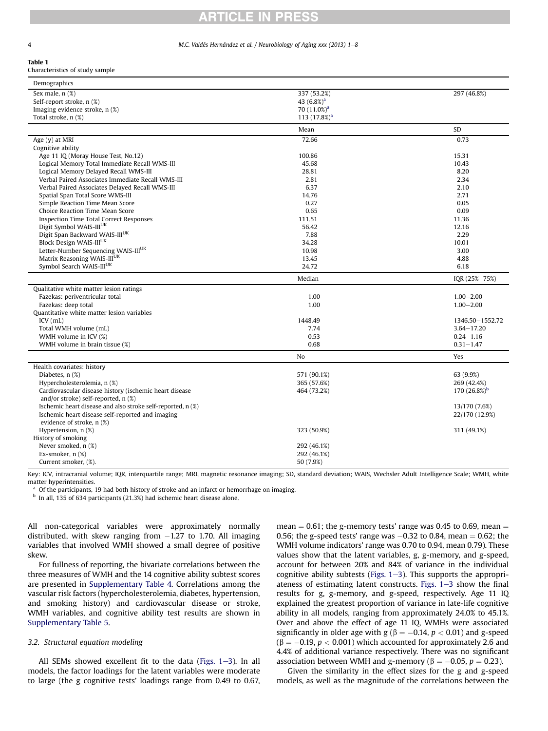<span id="page-4-0"></span>4 M.C. Valdés Hernández et al. / Neurobiology of Aging xxx (2013) 1–8

# **ARTICLE IN PRESS**

### Table 1

Characteristics of study sample

| Demographics                                                |                |                   |
|-------------------------------------------------------------|----------------|-------------------|
| Sex male, n (%)                                             | 337 (53.2%)    | 297 (46.8%)       |
| Self-report stroke, n (%)                                   | 43 $(6.8\%)^a$ |                   |
| Imaging evidence stroke, n (%)                              | $70(11.0\%)a$  |                   |
| Total stroke, n (%)                                         | 113 $(17.8%)a$ |                   |
|                                                             | Mean           | <b>SD</b>         |
| Age $(y)$ at MRI                                            | 72.66          | 0.73              |
| Cognitive ability                                           |                |                   |
| Age 11 IQ (Moray House Test, No.12)                         | 100.86         | 15.31             |
| Logical Memory Total Immediate Recall WMS-III               | 45.68          | 10.43             |
| Logical Memory Delayed Recall WMS-III                       | 28.81          | 8.20              |
| Verbal Paired Associates Immediate Recall WMS-III           | 2.81           | 2.34              |
| Verbal Paired Associates Delayed Recall WMS-III             | 6.37           | 2.10              |
| Spatial Span Total Score WMS-III                            | 14.76          | 2.71              |
| Simple Reaction Time Mean Score                             | 0.27           | 0.05              |
| Choice Reaction Time Mean Score                             | 0.65           | 0.09              |
| <b>Inspection Time Total Correct Responses</b>              | 111.51         | 11.36             |
| Digit Symbol WAIS-III <sup>UK</sup>                         | 56.42          | 12.16             |
| Digit Span Backward WAIS-IIIUK                              | 7.88           | 2.29              |
| Block Design WAIS-IIIUK                                     | 34.28          | 10.01             |
| Letter-Number Sequencing WAIS-IIIUK                         | 10.98          | 3.00              |
| Matrix Reasoning WAIS-IIIUK                                 | 13.45          | 4.88              |
| Symbol Search WAIS-IIIUK                                    | 24.72          | 6.18              |
|                                                             | Median         | IQR (25%-75%)     |
| Qualitative white matter lesion ratings                     |                |                   |
| Fazekas: periventricular total                              | 1.00           | $1.00 - 2.00$     |
| Fazekas: deep total                                         | 1.00           | $1.00 - 2.00$     |
| Ouantitative white matter lesion variables                  |                |                   |
| $ICV$ ( $mL$ )                                              | 1448.49        | 1346.50 - 1552.72 |
| Total WMH volume (mL)                                       | 7.74           | $3.64 - 17.20$    |
| WMH volume in ICV (%)                                       | 0.53           | $0.24 - 1.16$     |
| WMH volume in brain tissue (%)                              | 0.68           | $0.31 - 1.47$     |
|                                                             | No             | Yes               |
| Health covariates: history                                  |                |                   |
| Diabetes, n (%)                                             | 571 (90.1%)    | 63 (9.9%)         |
| Hypercholesterolemia, n (%)                                 | 365 (57.6%)    | 269 (42.4%)       |
| Cardiovascular disease history (ischemic heart disease      | 464 (73.2%)    | 170 $(26.8\%)^b$  |
| and/or stroke) self-reported, n (%)                         |                |                   |
| Ischemic heart disease and also stroke self-reported, n (%) |                | 13/170 (7.6%)     |
| Ischemic heart disease self-reported and imaging            |                | 22/170 (12.9%)    |
| evidence of stroke, n (%)                                   |                |                   |
| Hypertension, $n$ $(\%)$                                    | 323 (50.9%)    | 311 (49.1%)       |
| History of smoking                                          |                |                   |
| Never smoked, n (%)                                         | 292 (46.1%)    |                   |
| Ex-smoker, n (%)                                            | 292 (46.1%)    |                   |
| Current smoker, (%).                                        | 50 (7.9%)      |                   |

Key: ICV, intracranial volume; IQR, interquartile range; MRI, magnetic resonance imaging; SD, standard deviation; WAIS, Wechsler Adult Intelligence Scale; WMH, white matter hyperintensities.

Of the participants, 19 had both history of stroke and an infarct or hemorrhage on imaging.

 $<sup>b</sup>$  In all, 135 of 634 participants (21.3%) had ischemic heart disease alone.</sup>

All non-categorical variables were approximately normally distributed, with skew ranging from  $-1.27$  to 1.70. All imaging variables that involved WMH showed a small degree of positive skew.

For fullness of reporting, the bivariate correlations between the three measures of WMH and the 14 cognitive ability subtest scores are presented in Supplementary Table 4. Correlations among the vascular risk factors (hypercholesterolemia, diabetes, hypertension, and smoking history) and cardiovascular disease or stroke, WMH variables, and cognitive ability test results are shown in Supplementary Table 5.

### 3.2. Structural equation modeling

All SEMs showed excellent fit to the data (Figs.  $1-3$ ). In all models, the factor loadings for the latent variables were moderate to large (the g cognitive tests' loadings range from 0.49 to 0.67, mean  $= 0.61$ ; the g-memory tests' range was 0.45 to 0.69, mean  $=$ 0.56; the g-speed tests' range was  $-0.32$  to 0.84, mean  $=0.62$ ; the WMH volume indicators' range was 0.70 to 0.94, mean 0.79). These values show that the latent variables, g, g-memory, and g-speed, account for between 20% and 84% of variance in the individual cognitive ability subtests (Figs.  $1-3$  $1-3$ ). This supports the appropriateness of estimating latent constructs. Figs.  $1-3$  $1-3$  show the final results for g, g-memory, and g-speed, respectively. Age 11 IQ explained the greatest proportion of variance in late-life cognitive ability in all models, ranging from approximately 24.0% to 45.1%. Over and above the effect of age 11 IQ, WMHs were associated significantly in older age with g ( $\beta = -0.14$ ,  $p < 0.01$ ) and g-speed  $(\beta = -0.19, p < 0.001)$  which accounted for approximately 2.6 and 4.4% of additional variance respectively. There was no significant association between WMH and g-memory ( $\beta = -0.05$ ,  $p = 0.23$ ).

Given the similarity in the effect sizes for the g and g-speed models, as well as the magnitude of the correlations between the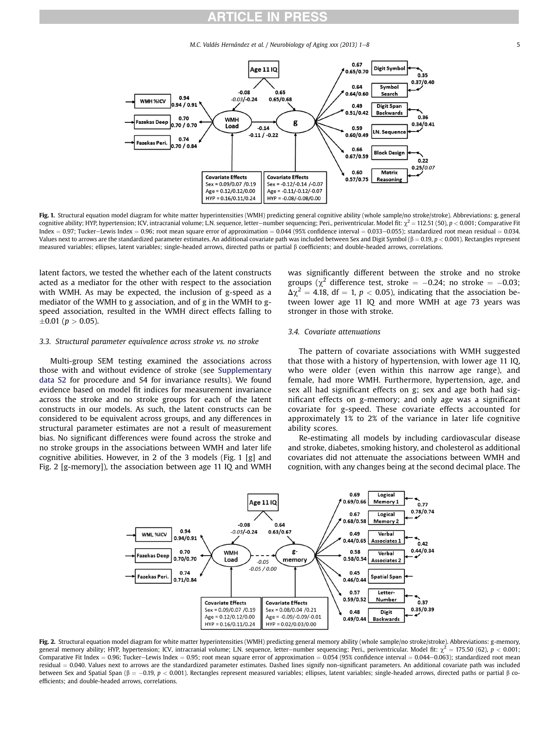M.C. Valdés Hernández et al. / Neurobiology of Aging xxx (2013) 1–8 5

<span id="page-5-0"></span>

Fig. 1. Structural equation model diagram for white matter hyperintensities (WMH) predicting general cognitive ability (whole sample/no stroke/stroke). Abbreviations: g, general cognitive ability; HYP, hypertension; ICV, intracranial volume; L.N. sequence, letter-number sequencing; Peri., periventricular. Model fit:  $\chi^2 = 112.51$  (50),  $p < 0.001$ ; Comparative Fit  $Index = 0.97$ ; Tucker-Lewis Index = 0.96; root mean square error of approximation = 0.044 (95% confidence interval = 0.033-0.055); standardized root mean residual = 0.034. Values next to arrows are the standardized parameter estimates. An additional covariate path was included between Sex and Digit Symbol ( $\beta = 0.19$ ,  $p < 0.001$ ). Rectangles represent measured variables; ellipses, latent variables; single-headed arrows, directed paths or partial b coefficients; and double-headed arrows, correlations.

latent factors, we tested the whether each of the latent constructs acted as a mediator for the other with respect to the association with WMH. As may be expected, the inclusion of g-speed as a mediator of the WMH to g association, and of g in the WMH to gspeed association, resulted in the WMH direct effects falling to  $\pm 0.01$  ( $p > 0.05$ ).

#### 3.3. Structural parameter equivalence across stroke vs. no stroke

Multi-group SEM testing examined the associations across those with and without evidence of stroke (see Supplementary data S2 for procedure and S4 for invariance results). We found evidence based on model fit indices for measurement invariance across the stroke and no stroke groups for each of the latent constructs in our models. As such, the latent constructs can be considered to be equivalent across groups, and any differences in structural parameter estimates are not a result of measurement bias. No significant differences were found across the stroke and no stroke groups in the associations between WMH and later life cognitive abilities. However, in 2 of the 3 models (Fig. 1 [g] and Fig. 2 [g-memory]), the association between age 11 IQ and WMH was significantly different between the stroke and no stroke groups ( $\chi^2$  difference test, stroke = -0.24; no stroke = -0.03;  $\Delta \chi^2$  = 4.18, df = 1, p < 0.05), indicating that the association between lower age 11 IQ and more WMH at age 73 years was stronger in those with stroke.

#### 3.4. Covariate attenuations

The pattern of covariate associations with WMH suggested that those with a history of hypertension, with lower age 11 IQ, who were older (even within this narrow age range), and female, had more WMH. Furthermore, hypertension, age, and sex all had significant effects on g; sex and age both had significant effects on g-memory; and only age was a significant covariate for g-speed. These covariate effects accounted for approximately 1% to 2% of the variance in later life cognitive ability scores.

Re-estimating all models by including cardiovascular disease and stroke, diabetes, smoking history, and cholesterol as additional covariates did not attenuate the associations between WMH and cognition, with any changes being at the second decimal place. The



Fig. 2. Structural equation model diagram for white matter hyperintensities (WMH) predicting general memory ability (whole sample/no stroke/stroke). Abbreviations: g-memory, general memory ability; HYP, hypertension; ICV, intracranial volume; L.N. sequence, letter-number sequencing; Peri., periventricular. Model fit:  $\chi^2 = 175.50$  (62),  $p < 0.001$ ; Comparative Fit Index = 0.96; Tucker-Lewis Index = 0.95; root mean square error of approximation = 0.054 (95% confidence interval = 0.044-0.063); standardized root mean residual = 0.040. Values next to arrows are the standardized parameter estimates. Dashed lines signify non-significant parameters. An additional covariate path was included between Sex and Spatial Span ( $\beta = -0.19$ ,  $p < 0.001$ ). Rectangles represent measured variables; ellipses, latent variables; single-headed arrows, directed paths or partial  $\beta$  coefficients; and double-headed arrows, correlations.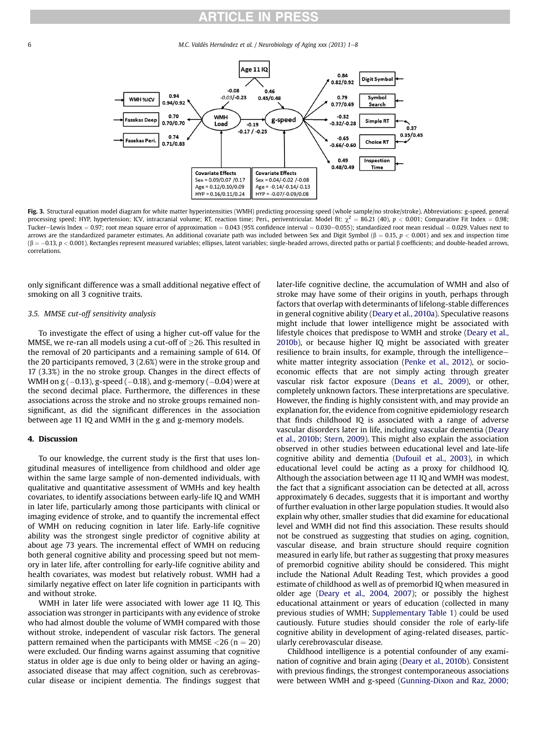6 M.C. Valdés Hernández et al. / Neurobiology of Aging xxx (2013) 1-8



Fig. 3. Structural equation model diagram for white matter hyperintensities (WMH) predicting processing speed (whole sample/no stroke/stroke). Abbreviations: g-speed, general processing speed; HYP, hypertension; ICV, intracranial volume; RT, reaction time; Peri., periventricular. Model fit:  $\chi^2 = 86.21$  (40), p < 0.001; Comparative Fit Index = 0.98; Tucker-Lewis Index = 0.97; root mean square error of approximation = 0.043 (95% confidence interval = 0.030-0.055); standardized root mean residual = 0.029. Values next to arrows are the standardized parameter estimates. An additional covariate path was included between Sex and Digit Symbol ( $\beta = 0.15$ ,  $p < 0.001$ ) and sex and inspection time ( $\beta = -0.13$ ,  $p < 0.001$ ). Rectangles represent measured variables; ellipses, latent variables; single-headed arrows, directed paths or partial  $\beta$  coefficients; and double-headed arrows, correlations.

only significant difference was a small additional negative effect of smoking on all 3 cognitive traits.

#### 3.5. MMSE cut-off sensitivity analysis

To investigate the effect of using a higher cut-off value for the MMSE, we re-ran all models using a cut-off of  $>$ 26. This resulted in the removal of 20 participants and a remaining sample of 614. Of the 20 participants removed, 3 (2.6%) were in the stroke group and 17 (3.3%) in the no stroke group. Changes in the direct effects of WMH on  $\rm g$  (–0.13), g-speed (–0.18), and g-memory (–0.04) were at the second decimal place. Furthermore, the differences in these associations across the stroke and no stroke groups remained nonsignificant, as did the significant differences in the association between age 11 IQ and WMH in the g and g-memory models.

#### 4. Discussion

To our knowledge, the current study is the first that uses longitudinal measures of intelligence from childhood and older age within the same large sample of non-demented individuals, with qualitative and quantitative assessment of WMHs and key health covariates, to identify associations between early-life IQ and WMH in later life, particularly among those participants with clinical or imaging evidence of stroke, and to quantify the incremental effect of WMH on reducing cognition in later life. Early-life cognitive ability was the strongest single predictor of cognitive ability at about age 73 years. The incremental effect of WMH on reducing both general cognitive ability and processing speed but not memory in later life, after controlling for early-life cognitive ability and health covariates, was modest but relatively robust. WMH had a similarly negative effect on later life cognition in participants with and without stroke.

WMH in later life were associated with lower age 11 IQ. This association was stronger in participants with any evidence of stroke who had almost double the volume of WMH compared with those without stroke, independent of vascular risk factors. The general pattern remained when the participants with MMSE  $\langle 26 (n = 20) \rangle$ were excluded. Our finding warns against assuming that cognitive status in older age is due only to being older or having an agingassociated disease that may affect cognition, such as cerebrovascular disease or incipient dementia. The findings suggest that

later-life cognitive decline, the accumulation of WMH and also of stroke may have some of their origins in youth, perhaps through factors that overlap with determinants of lifelong-stable differences in general cognitive ability ([Deary et al., 2010a](#page-7-0)). Speculative reasons might include that lower intelligence might be associated with lifestyle choices that predispose to WMH and stroke [\(Deary et al.,](#page-7-0) [2010b\)](#page-7-0), or because higher IQ might be associated with greater resilience to brain insults, for example, through the intelligencewhite matter integrity association ([Penke et al., 2012\)](#page-8-0), or socioeconomic effects that are not simply acting through greater vascular risk factor exposure [\(Deans et al., 2009](#page-7-0)), or other, completely unknown factors. These interpretations are speculative. However, the finding is highly consistent with, and may provide an explanation for, the evidence from cognitive epidemiology research that finds childhood IQ is associated with a range of adverse vascular disorders later in life, including vascular dementia [\(Deary](#page-7-0) [et al., 2010b; Stern, 2009](#page-7-0)). This might also explain the association observed in other studies between educational level and late-life cognitive ability and dementia ([Dufouil et al., 2003](#page-8-0)), in which educational level could be acting as a proxy for childhood IQ. Although the association between age 11 IQ and WMH was modest, the fact that a significant association can be detected at all, across approximately 6 decades, suggests that it is important and worthy of further evaluation in other large population studies. It would also explain why other, smaller studies that did examine for educational level and WMH did not find this association. These results should not be construed as suggesting that studies on aging, cognition, vascular disease, and brain structure should require cognition measured in early life, but rather as suggesting that proxy measures of premorbid cognitive ability should be considered. This might include the National Adult Reading Test, which provides a good estimate of childhood as well as of premorbid IQ when measured in older age ([Deary et al., 2004, 2007](#page-7-0)); or possibly the highest educational attainment or years of education (collected in many previous studies of WMH; Supplementary Table 1) could be used cautiously. Future studies should consider the role of early-life cognitive ability in development of aging-related diseases, particularly cerebrovascular disease.

Childhood intelligence is a potential confounder of any examination of cognitive and brain aging [\(Deary et al., 2010b](#page-7-0)). Consistent with previous findings, the strongest contemporaneous associations were between WMH and g-speed [\(Gunning-Dixon and Raz, 2000;](#page-8-0)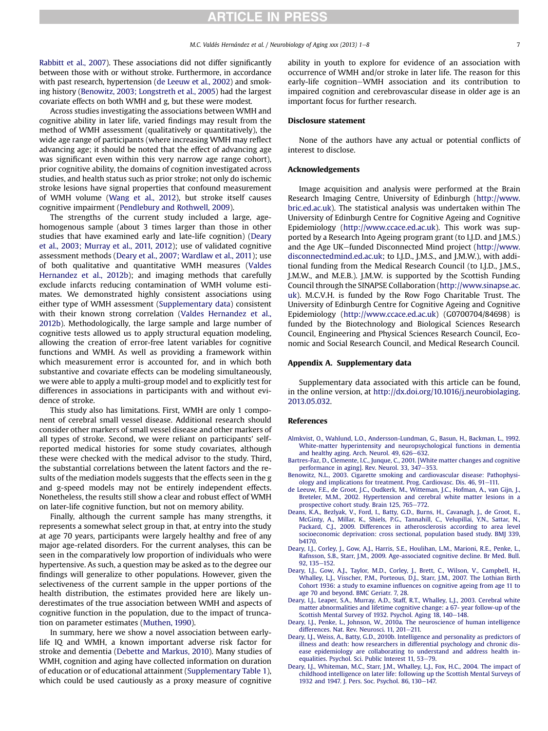<span id="page-7-0"></span>[Rabbitt et al., 2007\)](#page-8-0). These associations did not differ significantly between those with or without stroke. Furthermore, in accordance with past research, hypertension (de Leeuw et al., 2002) and smoking history (Benowitz, 2003; Longstreth et al., 2005) had the largest covariate effects on both WMH and g, but these were modest.

Across studies investigating the associations between WMH and cognitive ability in later life, varied findings may result from the method of WMH assessment (qualitatively or quantitatively), the wide age range of participants (where increasing WMH may reflect advancing age; it should be noted that the effect of advancing age was significant even within this very narrow age range cohort), prior cognitive ability, the domains of cognition investigated across studies, and health status such as prior stroke; not only do ischemic stroke lesions have signal properties that confound measurement of WMH volume [\(Wang et al., 2012\)](#page-8-0), but stroke itself causes cognitive impairment ([Pendlebury and Rothwell, 2009](#page-8-0)).

The strengths of the current study included a large, agehomogenous sample (about 3 times larger than those in other studies that have examined early and late-life cognition) (Deary et al., 2003; Murray et al., 2011, 2012); use of validated cognitive assessment methods (Deary et al., 2007; Wardlaw et al., 2011); use of both qualitative and quantitative WMH measures [\(Valdes](#page-8-0) [Hernandez et al., 2012b\)](#page-8-0); and imaging methods that carefully exclude infarcts reducing contamination of WMH volume estimates. We demonstrated highly consistent associations using either type of WMH assessment (Supplementary data) consistent with their known strong correlation [\(Valdes Hernandez et al.,](#page-8-0) [2012b\)](#page-8-0). Methodologically, the large sample and large number of cognitive tests allowed us to apply structural equation modeling, allowing the creation of error-free latent variables for cognitive functions and WMH. As well as providing a framework within which measurement error is accounted for, and in which both substantive and covariate effects can be modeling simultaneously, we were able to apply a multi-group model and to explicitly test for differences in associations in participants with and without evidence of stroke.

This study also has limitations. First, WMH are only 1 component of cerebral small vessel disease. Additional research should consider other markers of small vessel disease and other markers of all types of stroke. Second, we were reliant on participants' selfreported medical histories for some study covariates, although these were checked with the medical advisor to the study. Third, the substantial correlations between the latent factors and the results of the mediation models suggests that the effects seen in the g and g-speed models may not be entirely independent effects. Nonetheless, the results still show a clear and robust effect of WMH on later-life cognitive function, but not on memory ability.

Finally, although the current sample has many strengths, it represents a somewhat select group in that, at entry into the study at age 70 years, participants were largely healthy and free of any major age-related disorders. For the current analyses, this can be seen in the comparatively low proportion of individuals who were hypertensive. As such, a question may be asked as to the degree our findings will generalize to other populations. However, given the selectiveness of the current sample in the upper portions of the health distribution, the estimates provided here are likely underestimates of the true association between WMH and aspects of cognitive function in the population, due to the impact of truncation on parameter estimates [\(Muthen, 1990](#page-8-0)).

In summary, here we show a novel association between earlylife IQ and WMH, a known important adverse risk factor for stroke and dementia ([Debette and Markus, 2010](#page-8-0)). Many studies of WMH, cognition and aging have collected information on duration of education or of educational attainment (Supplementary Table 1), which could be used cautiously as a proxy measure of cognitive ability in youth to explore for evidence of an association with occurrence of WMH and/or stroke in later life. The reason for this early-life cognition-WMH association and its contribution to impaired cognition and cerebrovascular disease in older age is an important focus for further research.

#### Disclosure statement

None of the authors have any actual or potential conflicts of interest to disclose.

#### Acknowledgements

Image acquisition and analysis were performed at the Brain Research Imaging Centre, University of Edinburgh ([http://www.](http://www.bric.ed.ac.uk) [bric.ed.ac.uk](http://www.bric.ed.ac.uk)). The statistical analysis was undertaken within The University of Edinburgh Centre for Cognitive Ageing and Cognitive Epidemiology [\(http://www.ccace.ed.ac.uk](http://www.ccace.ed.ac.uk)). This work was supported by a Research Into Ageing program grant (to I.J.D. and J.M.S.) and the Age UK-funded Disconnected Mind project ([http://www.](http://www.disconnectedmind.ed.ac.uk) [disconnectedmind.ed.ac.uk](http://www.disconnectedmind.ed.ac.uk); to I.J.D., J.M.S., and J.M.W.), with additional funding from the Medical Research Council (to I.J.D., J.M.S., J.M.W., and M.E.B.). J.M.W. is supported by the Scottish Funding Council through the SINAPSE Collaboration ([http://www.sinapse.ac.](http://www.sinapse.ac.uk) [uk\)](http://www.sinapse.ac.uk). M.C.V.H. is funded by the Row Fogo Charitable Trust. The University of Edinburgh Centre for Cognitive Ageing and Cognitive Epidemiology [\(http://www.ccace.ed.ac.uk](http://www.ccace.ed.ac.uk)) (G0700704/84698) is funded by the Biotechnology and Biological Sciences Research Council, Engineering and Physical Sciences Research Council, Economic and Social Research Council, and Medical Research Council.

#### Appendix A. Supplementary data

Supplementary data associated with this article can be found, in the online version, at [http://dx.doi.org/10.1016/j.neurobiolaging.](http://dx.doi.org/10.1016/j.neurobiolaging.2013.05.032) [2013.05.032.](http://dx.doi.org/10.1016/j.neurobiolaging.2013.05.032)

#### References

- [Almkvist, O., Wahlund, L.O., Andersson-Lundman, G., Basun, H., Backman, L., 1992.](http://refhub.elsevier.com/S0197-4580(13)00245-5/sref1) [White-matter hyperintensity and neuropsychological functions in dementia](http://refhub.elsevier.com/S0197-4580(13)00245-5/sref1) and healthy aging. Arch. Neurol.  $49, 626 - 632$ .
- [Bartres-Faz, D., Clemente, I.C., Junque, C., 2001. \[White matter changes and cognitive](http://refhub.elsevier.com/S0197-4580(13)00245-5/sref2) [performance in aging\]. Rev. Neurol. 33, 347](http://refhub.elsevier.com/S0197-4580(13)00245-5/sref2)-[353.](http://refhub.elsevier.com/S0197-4580(13)00245-5/sref2)
- [Benowitz, N.L., 2003. Cigarette smoking and cardiovascular disease: Pathophysi](http://refhub.elsevier.com/S0197-4580(13)00245-5/sref3)[ology and implications for treatment. Prog. Cardiovasc. Dis. 46, 91](http://refhub.elsevier.com/S0197-4580(13)00245-5/sref3)-[111.](http://refhub.elsevier.com/S0197-4580(13)00245-5/sref3)
- [de Leeuw, F.E., de Groot, J.C., Oudkerk, M., Witteman, J.C., Hofman, A., van Gijn, J.,](http://refhub.elsevier.com/S0197-4580(13)00245-5/sref4) [Breteler, M.M., 2002. Hypertension and cerebral white matter lesions in a](http://refhub.elsevier.com/S0197-4580(13)00245-5/sref4) [prospective cohort study. Brain 125, 765](http://refhub.elsevier.com/S0197-4580(13)00245-5/sref4)-[772](http://refhub.elsevier.com/S0197-4580(13)00245-5/sref4).
- [Deans, K.A., Bezlyak, V., Ford, I., Batty, G.D., Burns, H., Cavanagh, J., de Groot, E.,](http://refhub.elsevier.com/S0197-4580(13)00245-5/sref5) [McGinty, A., Millar, K., Shiels, P.G., Tannahill, C., Velupillai, Y.N., Sattar, N.,](http://refhub.elsevier.com/S0197-4580(13)00245-5/sref5) [Packard, C.J., 2009. Differences in atherosclerosis according to area level](http://refhub.elsevier.com/S0197-4580(13)00245-5/sref5) [socioeconomic deprivation: cross sectional, population based study. BMJ 339,](http://refhub.elsevier.com/S0197-4580(13)00245-5/sref5) [b4170](http://refhub.elsevier.com/S0197-4580(13)00245-5/sref5).
- [Deary, I.J., Corley, J., Gow, A.J., Harris, S.E., Houlihan, L.M., Marioni, R.E., Penke, L.,](http://refhub.elsevier.com/S0197-4580(13)00245-5/sref6) [Rafnsson, S.B., Starr, J.M., 2009. Age-associated cognitive decline. Br Med. Bull.](http://refhub.elsevier.com/S0197-4580(13)00245-5/sref6) [92, 135](http://refhub.elsevier.com/S0197-4580(13)00245-5/sref6)-[152](http://refhub.elsevier.com/S0197-4580(13)00245-5/sref6).
- [Deary, I.J., Gow, A.J., Taylor, M.D., Corley, J., Brett, C., Wilson, V., Campbell, H.,](http://refhub.elsevier.com/S0197-4580(13)00245-5/sref7) [Whalley, L.J., Visscher, P.M., Porteous, D.J., Starr, J.M., 2007. The Lothian Birth](http://refhub.elsevier.com/S0197-4580(13)00245-5/sref7) Cohort 1936: a study to examine infl[uences on cognitive ageing from age 11 to](http://refhub.elsevier.com/S0197-4580(13)00245-5/sref7) [age 70 and beyond. BMC Geriatr. 7, 28](http://refhub.elsevier.com/S0197-4580(13)00245-5/sref7).
- [Deary, I.J., Leaper, S.A., Murray, A.D., Staff, R.T., Whalley, L.J., 2003. Cerebral white](http://refhub.elsevier.com/S0197-4580(13)00245-5/sref8) [matter abnormalities and lifetime cognitive change: a 67- year follow-up of the](http://refhub.elsevier.com/S0197-4580(13)00245-5/sref8) [Scottish Mental Survey of 1932. Psychol. Aging 18, 140](http://refhub.elsevier.com/S0197-4580(13)00245-5/sref8)-[148](http://refhub.elsevier.com/S0197-4580(13)00245-5/sref8).
- [Deary, I.J., Penke, L., Johnson, W., 2010a. The neuroscience of human intelligence](http://refhub.elsevier.com/S0197-4580(13)00245-5/sref9) [differences. Nat. Rev. Neurosci. 11, 201](http://refhub.elsevier.com/S0197-4580(13)00245-5/sref9)-[211.](http://refhub.elsevier.com/S0197-4580(13)00245-5/sref9)
- [Deary, I.J., Weiss, A., Batty, G.D., 2010b. Intelligence and personality as predictors of](http://refhub.elsevier.com/S0197-4580(13)00245-5/sref10) [illness and death: how researchers in differential psychology and chronic dis](http://refhub.elsevier.com/S0197-4580(13)00245-5/sref10)[ease epidemiology are collaborating to understand and address health in](http://refhub.elsevier.com/S0197-4580(13)00245-5/sref10)[equalities. Psychol. Sci. Public Interest 11, 53](http://refhub.elsevier.com/S0197-4580(13)00245-5/sref10)-[79.](http://refhub.elsevier.com/S0197-4580(13)00245-5/sref10)
- [Deary, I.J., Whiteman, M.C., Starr, J.M., Whalley, L.J., Fox, H.C., 2004. The impact of](http://refhub.elsevier.com/S0197-4580(13)00245-5/sref11) [childhood intelligence on later life: following up the Scottish Mental Surveys of](http://refhub.elsevier.com/S0197-4580(13)00245-5/sref11) [1932 and 1947. J. Pers. Soc. Psychol. 86, 130](http://refhub.elsevier.com/S0197-4580(13)00245-5/sref11)-[147.](http://refhub.elsevier.com/S0197-4580(13)00245-5/sref11)